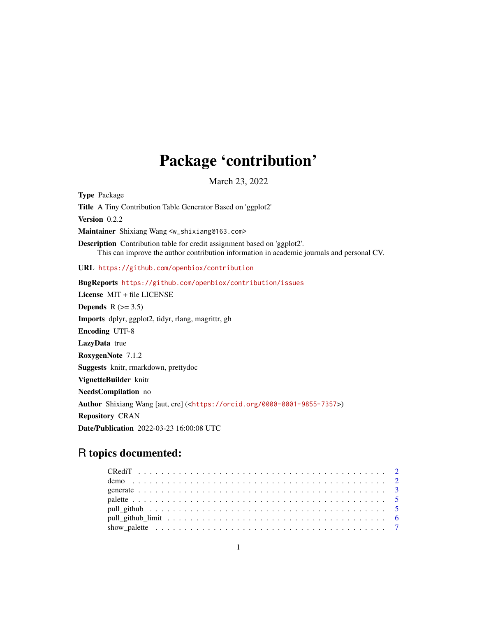## Package 'contribution'

March 23, 2022

<span id="page-0-0"></span>Type Package Title A Tiny Contribution Table Generator Based on 'ggplot2' Version 0.2.2 Maintainer Shixiang Wang <w\_shixiang@163.com> Description Contribution table for credit assignment based on 'ggplot2'. This can improve the author contribution information in academic journals and personal CV. URL <https://github.com/openbiox/contribution> BugReports <https://github.com/openbiox/contribution/issues> License MIT + file LICENSE Depends  $R$  ( $>= 3.5$ ) Imports dplyr, ggplot2, tidyr, rlang, magrittr, gh Encoding UTF-8 LazyData true RoxygenNote 7.1.2 Suggests knitr, rmarkdown, prettydoc VignetteBuilder knitr NeedsCompilation no Author Shixiang Wang [aut, cre] (<<https://orcid.org/0000-0001-9855-7357>>) Repository CRAN Date/Publication 2022-03-23 16:00:08 UTC

## R topics documented: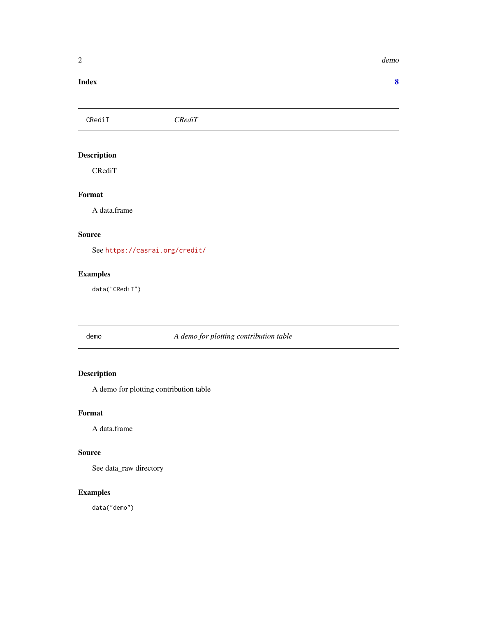#### <span id="page-1-0"></span>**Index** [8](#page-7-0) **8**

CRediT *CRediT*

### Description

CRediT

#### Format

A data.frame

#### Source

See <https://casrai.org/credit/>

#### Examples

data("CRediT")

demo *A demo for plotting contribution table*

### Description

A demo for plotting contribution table

#### Format

A data.frame

#### Source

See data\_raw directory

#### Examples

data("demo")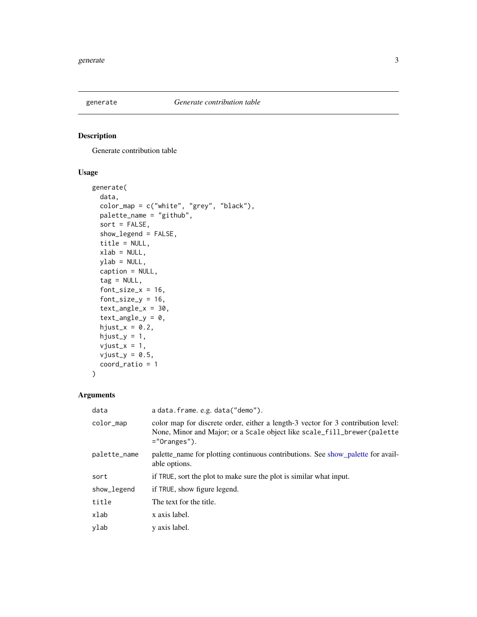<span id="page-2-0"></span>

#### Description

Generate contribution table

#### Usage

```
generate(
  data,
  color_map = c("white", "grey", "black"),
 palette_name = "github",
  sort = FALSE,
  show_legend = FALSE,
  title = NULL,
  xlab = NULL,ylab = NULL,
  caption = NULL,
  tag = NULL,font\_size_x = 16,
  font\_size_y = 16,
  text\_angle_x = 30,
  text\_angle_y = 0,
  hjust_x = 0.2,
  hjust_y = 1,
  vjust_x = 1,
  vjust_y = 0.5,
  coord_ratio = 1
)
```
#### Arguments

| data         | a data.frame.e.g.data("demo").                                                                                                                                                  |
|--------------|---------------------------------------------------------------------------------------------------------------------------------------------------------------------------------|
| color_map    | color map for discrete order, either a length-3 vector for 3 contribution level:<br>None, Minor and Major; or a Scale object like scale_fill_brewer(palette)<br>$=$ "Oranges"). |
| palette_name | palette_name for plotting continuous contributions. See show_palette for avail-<br>able options.                                                                                |
| sort         | if TRUE, sort the plot to make sure the plot is similar what input.                                                                                                             |
| show_legend  | if TRUE, show figure legend.                                                                                                                                                    |
| title        | The text for the title.                                                                                                                                                         |
| xlab         | x axis label.                                                                                                                                                                   |
| ylab         | y axis label.                                                                                                                                                                   |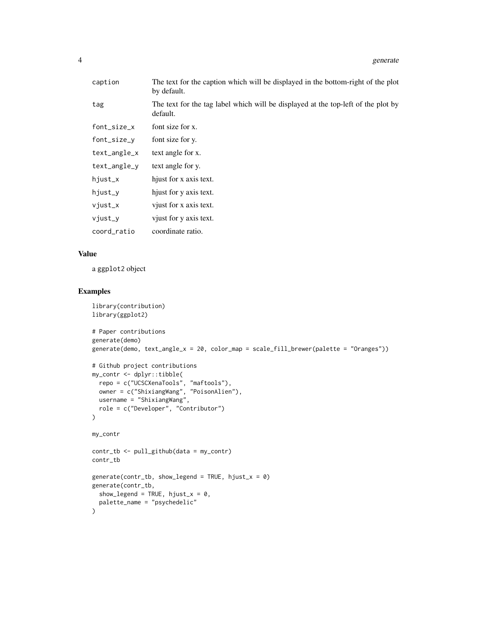| caption      | The text for the caption which will be displayed in the bottom-right of the plot<br>by default. |
|--------------|-------------------------------------------------------------------------------------------------|
| tag          | The text for the tag label which will be displayed at the top-left of the plot by<br>default.   |
| font_size_x  | font size for x.                                                                                |
| font_size_y  | font size for y.                                                                                |
| text_angle_x | text angle for x.                                                                               |
| text_angle_y | text angle for y.                                                                               |
| hjust_x      | hjust for x axis text.                                                                          |
| hjust_y      | hjust for y axis text.                                                                          |
| vjust_x      | vjust for x axis text.                                                                          |
| vjust_y      | vjust for y axis text.                                                                          |
| coord_ratio  | coordinate ratio.                                                                               |
|              |                                                                                                 |

#### Value

a ggplot2 object

### Examples

```
library(contribution)
library(ggplot2)
# Paper contributions
generate(demo)
generate(demo, text_angle_x = 20, color_map = scale_fill_brewer(palette = "Oranges"))
# Github project contributions
my_contr <- dplyr::tibble(
 repo = c("UCSCXenaTools", "maftools"),
 owner = c("ShixiangWang", "PoisonAlien"),
 username = "ShixiangWang",
  role = c("Developer", "Contributor")
)
my_contr
contr_tb <- pull_github(data = my_contr)
contr_tb
generate(contr_tb, show_legend = TRUE, hjust_x = \theta)
generate(contr_tb,
 show_legend = TRUE, hjust_x = 0,
  palette_name = "psychedelic"
\mathcal{L}
```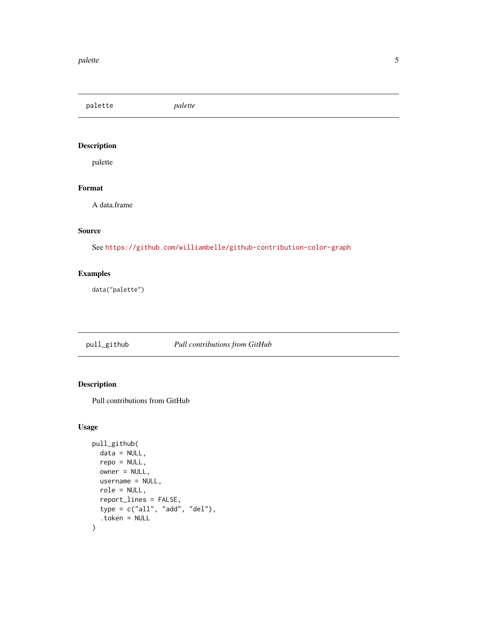#### <span id="page-4-0"></span>palette i Santa Carlos de Santa Carlos de Santa Carlos de Santa Carlos de Santa Carlos de Santa Carlos de Santa Carlos de Santa Carlos de Santa Carlos de Santa Carlos de Santa Carlos de Santa Carlos de Santa Carlos de Sant

palette *palette*

### Description

palette

### Format

A data.frame

#### Source

See <https://github.com/williambelle/github-contribution-color-graph>

#### Examples

data("palette")

#### pull\_github *Pull contributions from GitHub*

#### Description

Pull contributions from GitHub

#### Usage

```
pull_github(
  data = NULL,
  repo = NULL,
 owner = NULL,
 username = NULL,
  role = NULL,
  report_lines = FALSE,
  type = c("all", "add", "del"),
  .token = NULL
\mathcal{L}
```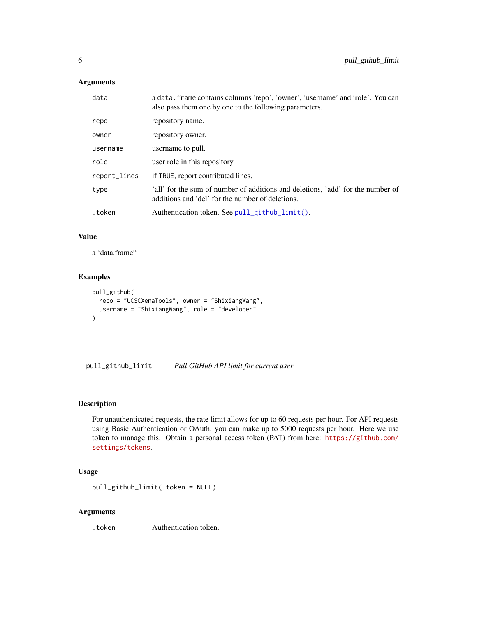#### <span id="page-5-0"></span>Arguments

| data         | a data. frame contains columns 'repo', 'owner', 'username' and 'role'. You can<br>also pass them one by one to the following parameters. |
|--------------|------------------------------------------------------------------------------------------------------------------------------------------|
| repo         | repository name.                                                                                                                         |
| owner        | repository owner.                                                                                                                        |
| username     | username to pull.                                                                                                                        |
| role         | user role in this repository.                                                                                                            |
| report_lines | if TRUE, report contributed lines.                                                                                                       |
| type         | 'all' for the sum of number of additions and deletions, 'add' for the number of<br>additions and 'del' for the number of deletions.      |
| .token       | Authentication token. See $pull_github_limit()$ .                                                                                        |
|              |                                                                                                                                          |

#### Value

a 'data.frame"

#### Examples

```
pull_github(
  repo = "UCSCXenaTools", owner = "ShixiangWang",
  username = "ShixiangWang", role = "developer"
)
```
<span id="page-5-1"></span>pull\_github\_limit *Pull GitHub API limit for current user*

#### Description

For unauthenticated requests, the rate limit allows for up to 60 requests per hour. For API requests using Basic Authentication or OAuth, you can make up to 5000 requests per hour. Here we use token to manage this. Obtain a personal access token (PAT) from here: [https://github.com/](https://github.com/settings/tokens) [settings/tokens](https://github.com/settings/tokens).

#### Usage

```
pull_github_limit(.token = NULL)
```
#### Arguments

.token Authentication token.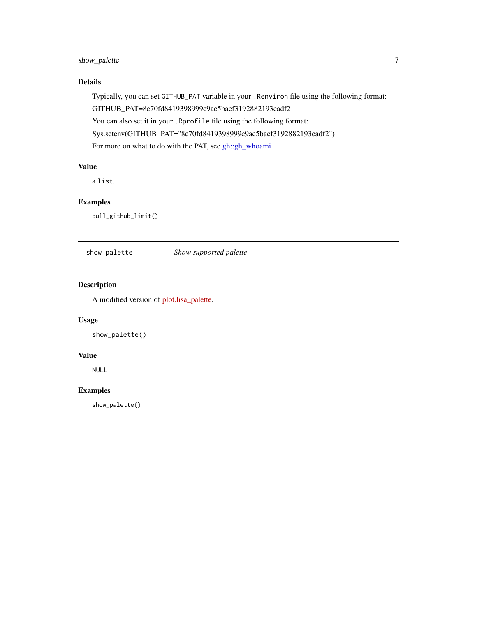### <span id="page-6-0"></span>show\_palette 7

#### Details

Typically, you can set GITHUB\_PAT variable in your .Renviron file using the following format: GITHUB\_PAT=8c70fd8419398999c9ac5bacf3192882193cadf2 You can also set it in your .Rprofile file using the following format: Sys.setenv(GITHUB\_PAT="8c70fd8419398999c9ac5bacf3192882193cadf2") For more on what to do with the PAT, see [gh::gh\\_whoami.](#page-0-0)

#### Value

a list.

#### Examples

pull\_github\_limit()

<span id="page-6-1"></span>show\_palette *Show supported palette*

#### Description

A modified version of [plot.lisa\\_palette.](https://github.com/tyluRp/lisa/blob/master/R/utils.R)

#### Usage

show\_palette()

#### Value

NULL

#### Examples

show\_palette()